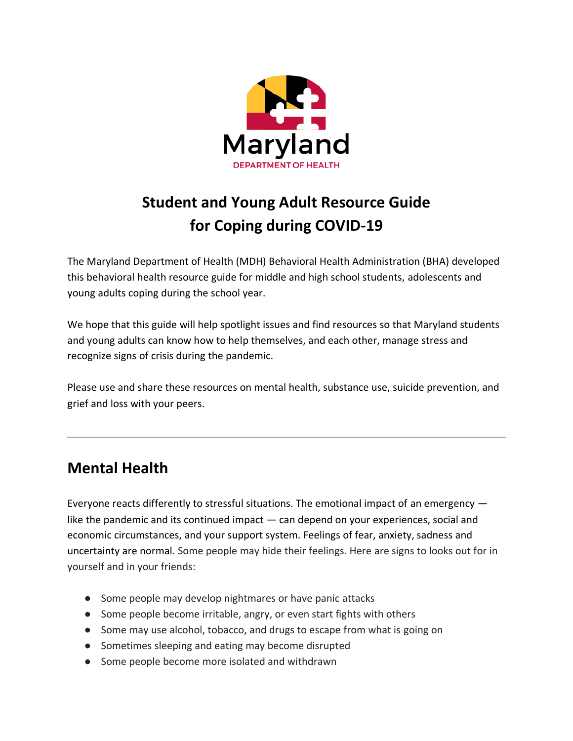

# **Student and Young Adult Resource Guide for Coping during COVID-19**

The Maryland Department of Health (MDH) Behavioral Health Administration (BHA) developed this behavioral health resource guide for middle and high school students, adolescents and young adults coping during the school year.

We hope that this guide will help spotlight issues and find resources so that Maryland students and young adults can know how to help themselves, and each other, manage stress and recognize signs of crisis during the pandemic.

Please use and share these resources on mental health, substance use, suicide prevention, and grief and loss with your peers.

## **Mental Health**

Everyone reacts differently to stressful situations. The emotional impact of an emergency like the pandemic and its continued impact — can depend on your experiences, social and economic circumstances, and your support system. Feelings of fear, anxiety, sadness and uncertainty are normal. Some people may hide their feelings. Here are signs to looks out for in yourself and in your friends:

- Some people may develop nightmares or have panic attacks
- Some people become irritable, angry, or even start fights with others
- Some may use alcohol, tobacco, and drugs to escape from what is going on
- Sometimes sleeping and eating may become disrupted
- Some people become more isolated and withdrawn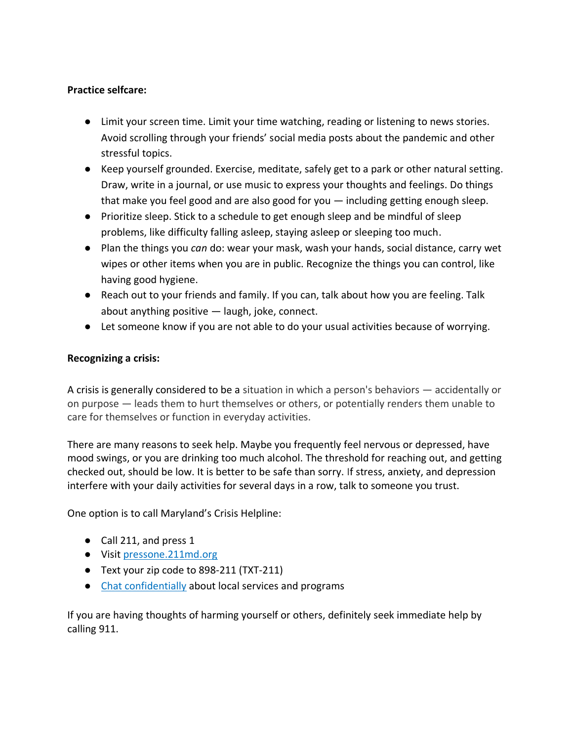### **Practice selfcare:**

- Limit your screen time. Limit your time watching, reading or listening to news stories. Avoid scrolling through your friends' social media posts about the pandemic and other stressful topics.
- Keep yourself grounded. Exercise, meditate, safely get to a park or other natural setting. Draw, write in a journal, or use music to express your thoughts and feelings. Do things that make you feel good and are also good for you — including getting enough sleep.
- Prioritize sleep. Stick to a schedule to get enough sleep and be mindful of sleep problems, like difficulty falling asleep, staying asleep or sleeping too much.
- Plan the things you *can* do: wear your mask, wash your hands, social distance, carry wet wipes or other items when you are in public. Recognize the things you can control, like having good hygiene.
- Reach out to your friends and family. If you can, talk about how you are feeling. Talk about anything positive — laugh, joke, connect.
- Let someone know if you are not able to do your usual activities because of worrying.

#### **Recognizing a crisis:**

A crisis is generally considered to be a situation in which a person's behaviors — accidentally or on purpose — leads them to hurt themselves or others, or potentially renders them unable to care for themselves or function in everyday activities.

There are many reasons to seek help. Maybe you frequently feel nervous or depressed, have mood swings, or you are drinking too much alcohol. The threshold for reaching out, and getting checked out, should be low. It is better to be safe than sorry. If stress, anxiety, and depression interfere with your daily activities for several days in a row, talk to someone you trust.

One option is to call Maryland's Crisis Helpline:

- Call 211, and press 1
- Visit [pressone.211md.org](https://pressone.211md.org/)
- Text your zip code to 898-211 (TXT-211)
- [Chat confidentially](https://211md.org/chat-with-us/) about local services and programs

If you are having thoughts of harming yourself or others, definitely seek immediate help by calling 911.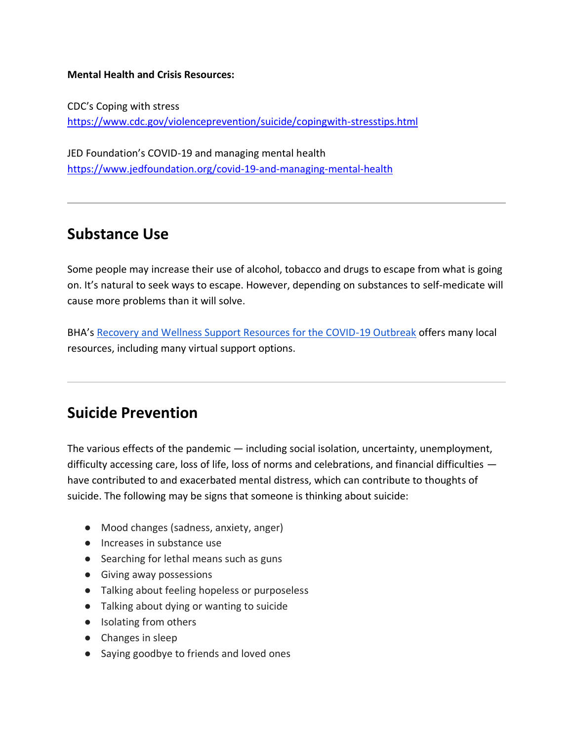#### **Mental Health and Crisis Resources:**

CDC's Coping with stress <https://www.cdc.gov/violenceprevention/suicide/copingwith-stresstips.html>

JED Foundation's COVID-19 and managing mental health <https://www.jedfoundation.org/covid-19-and-managing-mental-health>

### **Substance Use**

Some people may increase their use of alcohol, tobacco and drugs to escape from what is going on. It's natural to seek ways to escape. However, depending on substances to self-medicate will cause more problems than it will solve.

BHA's [Recovery and Wellness Support Resources for the COVID-19 Outbreak](https://bha.health.maryland.gov/Documents/Fact%20Sheet_%20Recovery%20and%20Wellness%20Support%20(5).pdf) offers many local resources, including many virtual support options.

### **Suicide Prevention**

The various effects of the pandemic — including social isolation, uncertainty, unemployment, difficulty accessing care, loss of life, loss of norms and celebrations, and financial difficulties have contributed to and exacerbated mental distress, which can contribute to thoughts of suicide. The following may be signs that someone is thinking about suicide:

- Mood changes (sadness, anxiety, anger)
- Increases in substance use
- Searching for lethal means such as guns
- Giving away possessions
- Talking about feeling hopeless or purposeless
- Talking about dying or wanting to suicide
- Isolating from others
- Changes in sleep
- Saying goodbye to friends and loved ones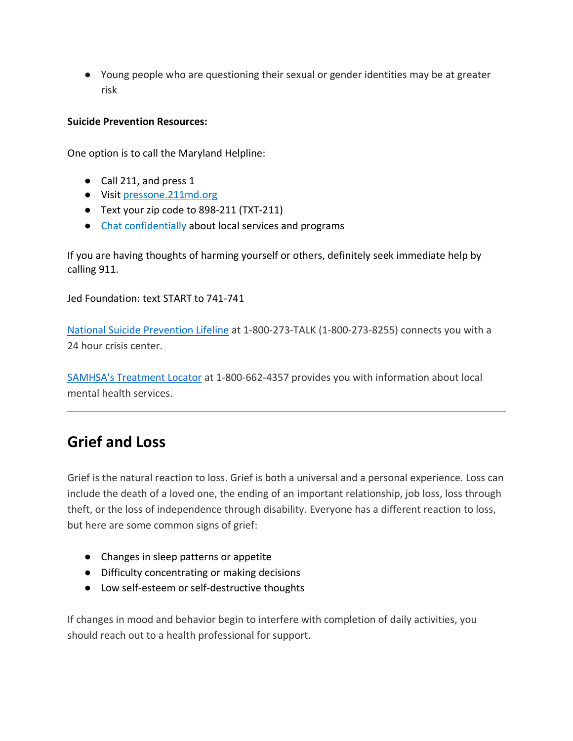● Young people who are questioning their sexual or gender identities may be at greater risk

### **Suicide Prevention Resources:**

One option is to call the Maryland Helpline:

- Call 211, and press 1
- Visit [pressone.211md.org](https://pressone.211md.org/)
- Text your zip code to 898-211 (TXT-211)
- [Chat confidentially](https://211md.org/chat-with-us/) about local services and programs

If you are having thoughts of harming yourself or others, definitely seek immediate help by calling 911.

Jed Foundation: text START to 741-741

[National Suicide Prevention Lifeline](http://www.suicidepreventionlifeline.org/) at 1-800-273-TALK (1-800-273-8255) connects you with a 24 hour crisis center.

[SAMHSA's Treatment Locator](https://findtreatment.samhsa.gov/) at 1-800-662-4357 provides you with information about local mental health services.

### **Grief and Loss**

Grief is the natural reaction to loss. Grief is both a universal and a personal experience. Loss can include the death of a loved one, the ending of an important relationship, job loss, loss through theft, or the loss of independence through disability. Everyone has a different reaction to loss, but here are some common signs of grief:

- Changes in sleep patterns or appetite
- Difficulty concentrating or making decisions
- Low self-esteem or self-destructive thoughts

If changes in mood and behavior begin to interfere with completion of daily activities, you should reach out to a health professional for support.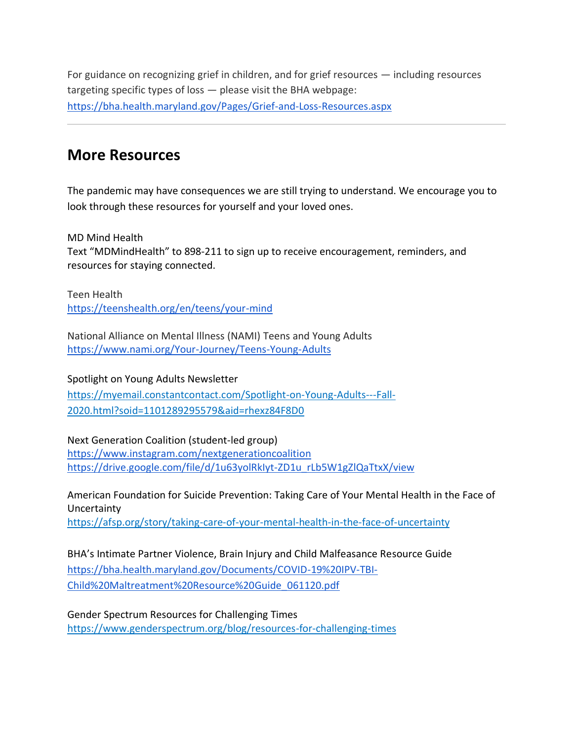For guidance on recognizing grief in children, and for grief resources — including resources targeting specific types of loss — please visit the BHA webpage: <https://bha.health.maryland.gov/Pages/Grief-and-Loss-Resources.aspx>

### **More Resources**

The pandemic may have consequences we are still trying to understand. We encourage you to look through these resources for yourself and your loved ones.

MD Mind Health

Text "MDMindHealth" to 898-211 to sign up to receive encouragement, reminders, and resources for staying connected.

Teen Health [https://teenshealth.org/en/teens/your-mind](https://teenshealth.org/en/teens/your-mind/)

National Alliance on Mental Illness (NAMI) Teens and Young Adults <https://www.nami.org/Your-Journey/Teens-Young-Adults>

Spotlight on Young Adults Newsletter

[https://myemail.constantcontact.com/Spotlight-on-Young-Adults---Fall-](https://myemail.constantcontact.com/Spotlight-on-Young-Adults---Fall-2020.html?soid=1101289295579&aid=rhexz84F8D0)[2020.html?soid=1101289295579&aid=rhexz84F8D0](https://myemail.constantcontact.com/Spotlight-on-Young-Adults---Fall-2020.html?soid=1101289295579&aid=rhexz84F8D0)

Next Generation Coalition (student-led group)

[https://www.instagram.com/nextgenerationcoalition](https://www.instagram.com/nextgenerationcoalition/) [https://drive.google.com/file/d/1u63yolRkIyt-ZD1u\\_rLb5W1gZlQaTtxX/view](https://drive.google.com/file/d/1u63yolRkIyt-ZD1u_rLb5W1gZlQaTtxX/view)

American Foundation for Suicide Prevention: Taking Care of Your Mental Health in the Face of Uncertainty <https://afsp.org/story/taking-care-of-your-mental-health-in-the-face-of-uncertainty>

BHA's Intimate Partner Violence, Brain Injury and Child Malfeasance Resource Guide [https://bha.health.maryland.gov/Documents/COVID-19%20IPV-TBI-](https://bha.health.maryland.gov/Documents/COVID-19%20IPV-TBI-Child%20Maltreatment%20Resource%20Guide_061120.pdf)[Child%20Maltreatment%20Resource%20Guide\\_061120.pdf](https://bha.health.maryland.gov/Documents/COVID-19%20IPV-TBI-Child%20Maltreatment%20Resource%20Guide_061120.pdf)

Gender Spectrum Resources for Challenging Times [https://www.genderspectrum.org/blog/resources-for-challenging-times](https://www.genderspectrum.org/blog/resources-for-challenging-times/)